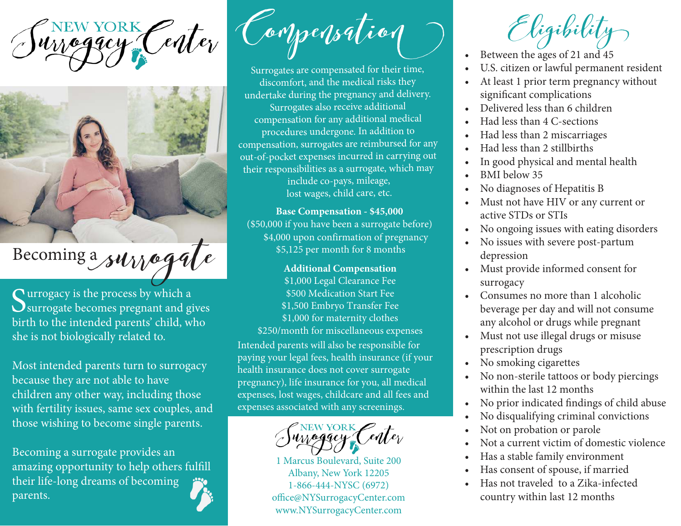CNEW YORK Center



## Becoming a survegate

Surrogacy is the process by which a<br>Surrogate becomes pregnant and gi U surrogate becomes pregnant and gives birth to the intended parents' child, who she is not biologically related to.

Most intended parents turn to surrogacy because they are not able to have children any other way, including those with fertility issues, same sex couples, and those wishing to become single parents.

Becoming a surrogate provides an amazing opportunity to help others fulfill their life-long dreams of becoming parents.



Surrogates are compensated for their time, discomfort, and the medical risks they undertake during the pregnancy and delivery. Surrogates also receive additional compensation for any additional medical procedures undergone. In addition to compensation, surrogates are reimbursed for any out-of-pocket expenses incurred in carrying out their responsibilities as a surrogate, which may include co-pays, mileage, lost wages, child care, etc.

**Base Compensation - \$45,000** (\$50,000 if you have been a surrogate before) \$4,000 upon confirmation of pregnancy \$5,125 per month for 8 months

**Additional Compensation** \$1,000 Legal Clearance Fee \$500 Medication Start Fee \$1,500 Embryo Transfer Fee \$1,000 for maternity clothes \$250/month for miscellaneous expenses

Intended parents will also be responsible for paying your legal fees, health insurance (if your health insurance does not cover surrogate pregnancy), life insurance for you, all medical expenses, lost wages, childcare and all fees and expenses associated with any screenings.

NEW YORK Center

1 Marcus Boulevard, Suite 200 Albany, New York 12205 1-866-444-NYSC (6972) office@NYSurrogacyCenter.com www.NYSurrogacyCenter.com

- Between the ages of 21 and 45
- U.S. citizen or lawful permanent resident
- At least 1 prior term pregnancy without significant complications
- Delivered less than 6 children
- Had less than 4 C-sections
- Had less than 2 miscarriages
- Had less than 2 stillbirths
- In good physical and mental health
- BMI below 35
- No diagnoses of Hepatitis B
- Must not have HIV or any current or active STDs or STIs
- No ongoing issues with eating disorders
- No issues with severe post-partum depression
- Must provide informed consent for surrogacy
- Consumes no more than 1 alcoholic beverage per day and will not consume any alcohol or drugs while pregnant
- Must not use illegal drugs or misuse prescription drugs
- No smoking cigarettes
- No non-sterile tattoos or body piercings within the last 12 months
- No prior indicated findings of child abuse
- No disqualifying criminal convictions
- Not on probation or parole
- Not a current victim of domestic violence
- Has a stable family environment
- Has consent of spouse, if married
- Has not traveled to a Zika-infected country within last 12 months